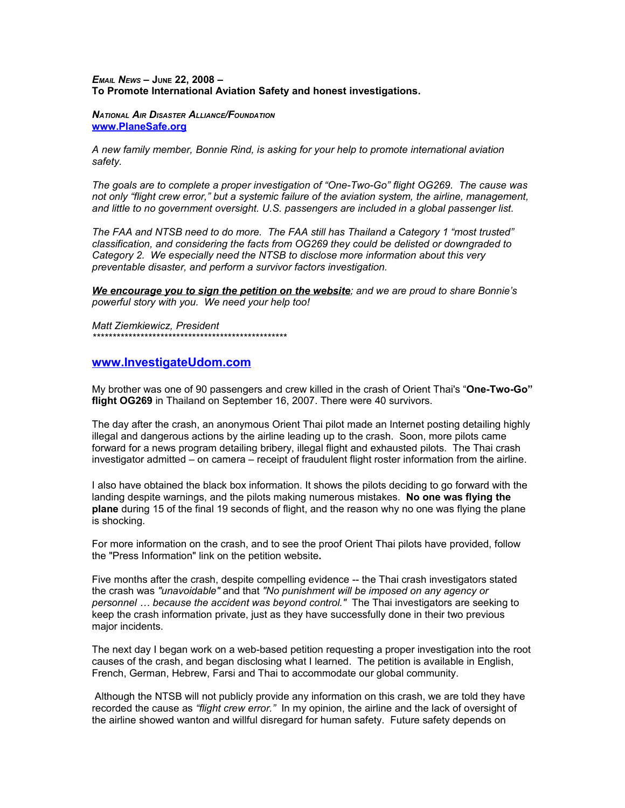## *EMAIL NEWS –* **JUNE 22, 2008 – To Promote International Aviation Safety and honest investigations.**

*NATIONAL AIR DISASTER ALLIANCE/FOUNDATION* **[www.PlaneSafe.org](http://www.PlaneSafe.org/)**

*A new family member, Bonnie Rind, is asking for your help to promote international aviation safety.* 

*The goals are to complete a proper investigation of "One-Two-Go" flight OG269. The cause was not only "flight crew error," but a systemic failure of the aviation system, the airline, management, and little to no government oversight. U.S. passengers are included in a global passenger list.* 

*The FAA and NTSB need to do more. The FAA still has Thailand a Category 1 "most trusted" classification, and considering the facts from OG269 they could be delisted or downgraded to Category 2. We especially need the NTSB to disclose more information about this very preventable disaster, and perform a survivor factors investigation.* 

*We encourage you to sign the petition on the website; and we are proud to share Bonnie's powerful story with you. We need your help too!* 

*Matt Ziemkiewicz, President \*\*\*\*\*\*\*\*\*\*\*\*\*\*\*\*\*\*\*\*\*\*\*\*\*\*\*\*\*\*\*\*\*\*\*\*\*\*\*\*\*\*\*\*\*\*\*\*\**

## **[www.InvestigateUdom.com](http://www.InvestigateUdom.com/)**

My brother was one of 90 passengers and crew killed in the crash of Orient Thai's "**One-Two-Go" flight OG269** in Thailand on September 16, 2007. There were 40 survivors.

The day after the crash, an anonymous Orient Thai pilot made an Internet posting detailing highly illegal and dangerous actions by the airline leading up to the crash. Soon, more pilots came forward for a news program detailing bribery, illegal flight and exhausted pilots. The Thai crash investigator admitted – on camera – receipt of fraudulent flight roster information from the airline.

I also have obtained the black box information. It shows the pilots deciding to go forward with the landing despite warnings, and the pilots making numerous mistakes. **No one was flying the plane** during 15 of the final 19 seconds of flight, and the reason why no one was flying the plane is shocking.

For more information on the crash, and to see the proof Orient Thai pilots have provided, follow the "Press Information" link on the petition website**.**

Five months after the crash, despite compelling evidence -- the Thai crash investigators stated the crash was *"unavoidable"* and that *"No punishment will be imposed on any agency or personnel … because the accident was beyond control."* The Thai investigators are seeking to keep the crash information private, just as they have successfully done in their two previous major incidents.

The next day I began work on a web-based petition requesting a proper investigation into the root causes of the crash, and began disclosing what I learned. The petition is available in English, French, German, Hebrew, Farsi and Thai to accommodate our global community.

 Although the NTSB will not publicly provide any information on this crash, we are told they have recorded the cause as *"flight crew error."* In my opinion, the airline and the lack of oversight of the airline showed wanton and willful disregard for human safety. Future safety depends on